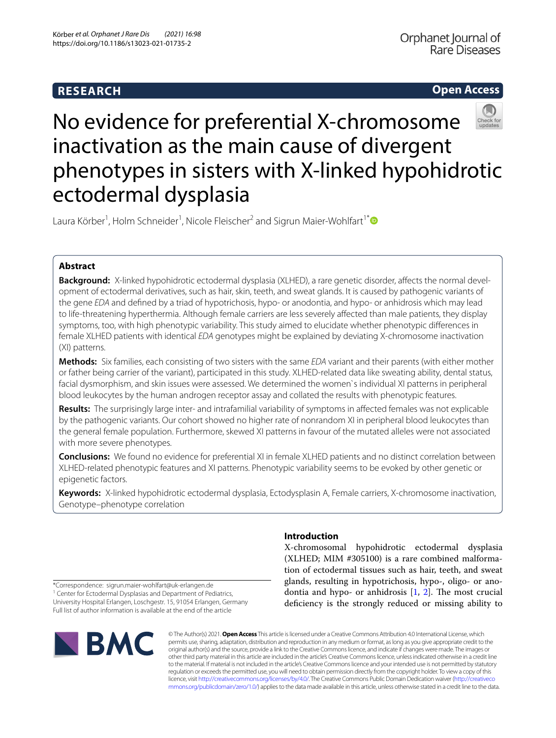# **RESEARCH**

**Open Access**

# No evidence for preferential X-chromosome inactivation as the main cause of divergent phenotypes in sisters with X-linked hypohidrotic ectodermal dysplasia

Laura Körber<sup>1</sup>, Holm Schneider<sup>1</sup>, Nicole Fleischer<sup>2</sup> and Sigrun Maier-Wohlfart<sup>1[\\*](http://orcid.org/0000-0002-7073-9674)</sup>

## **Abstract**

**Background:** X-linked hypohidrotic ectodermal dysplasia (XLHED), a rare genetic disorder, affects the normal development of ectodermal derivatives, such as hair, skin, teeth, and sweat glands. It is caused by pathogenic variants of the gene *EDA* and defned by a triad of hypotrichosis, hypo- or anodontia, and hypo- or anhidrosis which may lead to life-threatening hyperthermia. Although female carriers are less severely afected than male patients, they display symptoms, too, with high phenotypic variability. This study aimed to elucidate whether phenotypic diferences in female XLHED patients with identical *EDA* genotypes might be explained by deviating X-chromosome inactivation (XI) patterns.

**Methods:** Six families, each consisting of two sisters with the same *EDA* variant and their parents (with either mother or father being carrier of the variant), participated in this study. XLHED-related data like sweating ability, dental status, facial dysmorphism, and skin issues were assessed. We determined the women`s individual XI patterns in peripheral blood leukocytes by the human androgen receptor assay and collated the results with phenotypic features.

**Results:** The surprisingly large inter- and intrafamilial variability of symptoms in afected females was not explicable by the pathogenic variants. Our cohort showed no higher rate of nonrandom XI in peripheral blood leukocytes than the general female population. Furthermore, skewed XI patterns in favour of the mutated alleles were not associated with more severe phenotypes.

**Conclusions:** We found no evidence for preferential XI in female XLHED patients and no distinct correlation between XLHED-related phenotypic features and XI patterns. Phenotypic variability seems to be evoked by other genetic or epigenetic factors.

**Keywords:** X-linked hypohidrotic ectodermal dysplasia, Ectodysplasin A, Female carriers, X-chromosome inactivation, Genotype–phenotype correlation

## **Introduction**

X-chromosomal hypohidrotic ectodermal dysplasia (XLHED; MIM #305100) is a rare combined malformation of ectodermal tissues such as hair, teeth, and sweat glands, resulting in hypotrichosis, hypo-, oligo- or anodontia and hypo- or anhidrosis  $[1, 2]$  $[1, 2]$  $[1, 2]$  $[1, 2]$ . The most crucial defciency is the strongly reduced or missing ability to

\*Correspondence: sigrun.maier‑wohlfart@uk‑erlangen.de

<sup>1</sup> Center for Ectodermal Dysplasias and Department of Pediatrics, University Hospital Erlangen, Loschgestr. 15, 91054 Erlangen, Germany Full list of author information is available at the end of the article



© The Author(s) 2021. **Open Access** This article is licensed under a Creative Commons Attribution 4.0 International License, which permits use, sharing, adaptation, distribution and reproduction in any medium or format, as long as you give appropriate credit to the original author(s) and the source, provide a link to the Creative Commons licence, and indicate if changes were made. The images or other third party material in this article are included in the article's Creative Commons licence, unless indicated otherwise in a credit line to the material. If material is not included in the article's Creative Commons licence and your intended use is not permitted by statutory regulation or exceeds the permitted use, you will need to obtain permission directly from the copyright holder. To view a copy of this licence, visit [http://creativecommons.org/licenses/by/4.0/.](http://creativecommons.org/licenses/by/4.0/) The Creative Commons Public Domain Dedication waiver ([http://creativeco](http://creativecommons.org/publicdomain/zero/1.0/) [mmons.org/publicdomain/zero/1.0/](http://creativecommons.org/publicdomain/zero/1.0/)) applies to the data made available in this article, unless otherwise stated in a credit line to the data.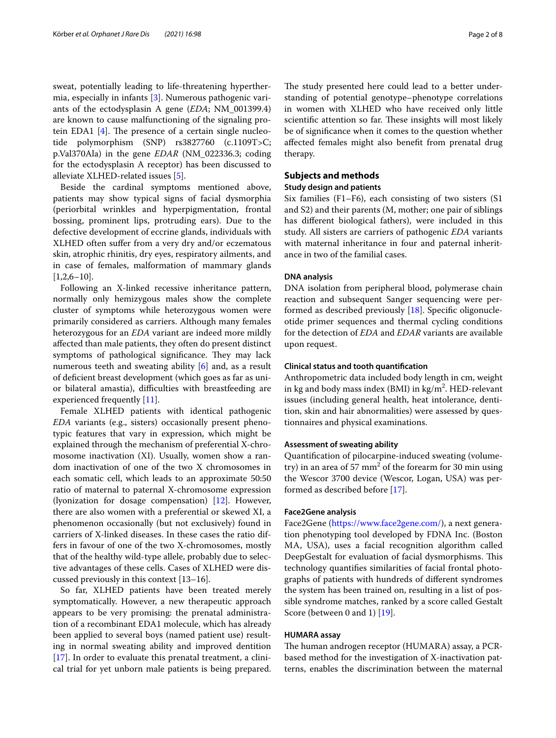sweat, potentially leading to life-threatening hyperthermia, especially in infants [\[3](#page-6-2)]. Numerous pathogenic variants of the ectodysplasin A gene (*EDA*; NM\_001399.4) are known to cause malfunctioning of the signaling protein EDA1  $[4]$  $[4]$ . The presence of a certain single nucleotide polymorphism (SNP) rs3827760 (c.1109T>C; p.Val370Ala) in the gene *EDAR* (NM\_022336.3; coding for the ectodysplasin A receptor) has been discussed to alleviate XLHED-related issues [[5\]](#page-6-4).

Beside the cardinal symptoms mentioned above, patients may show typical signs of facial dysmorphia (periorbital wrinkles and hyperpigmentation, frontal bossing, prominent lips, protruding ears). Due to the defective development of eccrine glands, individuals with XLHED often sufer from a very dry and/or eczematous skin, atrophic rhinitis, dry eyes, respiratory ailments, and in case of females, malformation of mammary glands  $[1,2,6-10]$ .

Following an X-linked recessive inheritance pattern, normally only hemizygous males show the complete cluster of symptoms while heterozygous women were primarily considered as carriers. Although many females heterozygous for an *EDA* variant are indeed more mildly afected than male patients, they often do present distinct symptoms of pathological significance. They may lack numerous teeth and sweating ability [\[6](#page-6-5)] and, as a result of defcient breast development (which goes as far as unior bilateral amastia), difficulties with breastfeeding are experienced frequently [[11\]](#page-6-6).

Female XLHED patients with identical pathogenic *EDA* variants (e.g., sisters) occasionally present phenotypic features that vary in expression, which might be explained through the mechanism of preferential X-chromosome inactivation (XI). Usually, women show a random inactivation of one of the two X chromosomes in each somatic cell, which leads to an approximate 50:50 ratio of maternal to paternal X-chromosome expression (lyonization for dosage compensation) [\[12](#page-6-7)]. However, there are also women with a preferential or skewed XI, a phenomenon occasionally (but not exclusively) found in carriers of X-linked diseases. In these cases the ratio differs in favour of one of the two X-chromosomes, mostly that of the healthy wild-type allele, probably due to selective advantages of these cells. Cases of XLHED were discussed previously in this context [13–16].

So far, XLHED patients have been treated merely symptomatically. However, a new therapeutic approach appears to be very promising: the prenatal administration of a recombinant EDA1 molecule, which has already been applied to several boys (named patient use) resulting in normal sweating ability and improved dentition [[17\]](#page-7-0). In order to evaluate this prenatal treatment, a clinical trial for yet unborn male patients is being prepared. The study presented here could lead to a better understanding of potential genotype–phenotype correlations in women with XLHED who have received only little scientific attention so far. These insights will most likely be of signifcance when it comes to the question whether afected females might also beneft from prenatal drug therapy.

## **Subjects and methods**

## **Study design and patients**

Six families (F1–F6), each consisting of two sisters (S1 and S2) and their parents (M, mother; one pair of siblings has diferent biological fathers), were included in this study. All sisters are carriers of pathogenic *EDA* variants with maternal inheritance in four and paternal inheritance in two of the familial cases.

## **DNA analysis**

DNA isolation from peripheral blood, polymerase chain reaction and subsequent Sanger sequencing were performed as described previously [[18\]](#page-7-1). Specifc oligonucleotide primer sequences and thermal cycling conditions for the detection of *EDA* and *EDAR* variants are available upon request.

## **Clinical status and tooth quantifcation**

Anthropometric data included body length in cm, weight in kg and body mass index (BMI) in  $\text{kg/m}^2$ . HED-relevant issues (including general health, heat intolerance, dentition, skin and hair abnormalities) were assessed by questionnaires and physical examinations.

## **Assessment of sweating ability**

Quantifcation of pilocarpine-induced sweating (volumetry) in an area of 57  $mm<sup>2</sup>$  of the forearm for 30 min using the Wescor 3700 device (Wescor, Logan, USA) was performed as described before [\[17\]](#page-7-0).

## **Face2Gene analysis**

Face2Gene [\(https://www.face2gene.com/\)](https://www.face2gene.com/), a next generation phenotyping tool developed by FDNA Inc. (Boston MA, USA), uses a facial recognition algorithm called DeepGestalt for evaluation of facial dysmorphisms. This technology quantifes similarities of facial frontal photographs of patients with hundreds of diferent syndromes the system has been trained on, resulting in a list of possible syndrome matches, ranked by a score called Gestalt Score (between 0 and 1) [\[19](#page-7-2)].

## **HUMARA assay**

The human androgen receptor (HUMARA) assay, a PCRbased method for the investigation of X-inactivation patterns, enables the discrimination between the maternal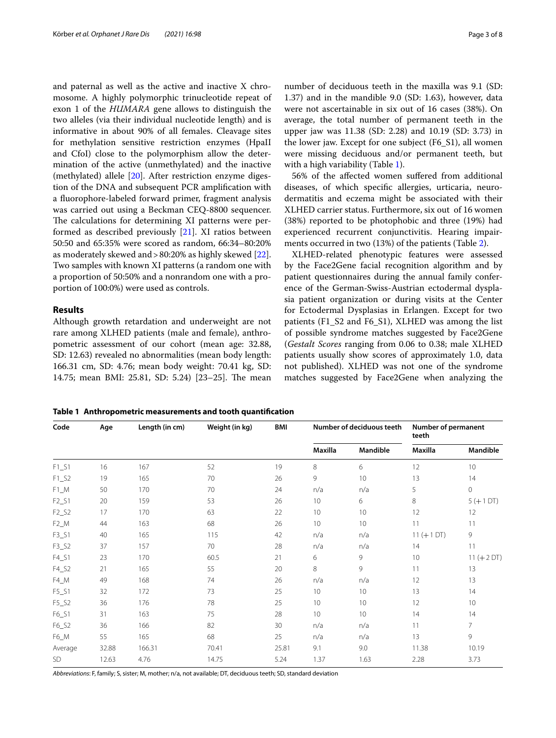and paternal as well as the active and inactive X chromosome. A highly polymorphic trinucleotide repeat of exon 1 of the *HUMARA* gene allows to distinguish the two alleles (via their individual nucleotide length) and is informative in about 90% of all females. Cleavage sites for methylation sensitive restriction enzymes (HpaII and CfoI) close to the polymorphism allow the determination of the active (unmethylated) and the inactive (methylated) allele [\[20](#page-7-3)]. After restriction enzyme digestion of the DNA and subsequent PCR amplifcation with a fuorophore-labeled forward primer, fragment analysis was carried out using a Beckman CEQ-8800 sequencer. The calculations for determining XI patterns were performed as described previously [[21\]](#page-7-4). XI ratios between 50:50 and 65:35% were scored as random, 66:34–80:20% as moderately skewed and>80:20% as highly skewed [\[22](#page-7-5)]. Two samples with known XI patterns (a random one with a proportion of 50:50% and a nonrandom one with a proportion of 100:0%) were used as controls.

## **Results**

Although growth retardation and underweight are not rare among XLHED patients (male and female), anthropometric assessment of our cohort (mean age: 32.88, SD: 12.63) revealed no abnormalities (mean body length: 166.31 cm, SD: 4.76; mean body weight: 70.41 kg, SD: 14.75; mean BMI: 25.81, SD: 5.24) [23-25]. The mean number of deciduous teeth in the maxilla was 9.1 (SD: 1.37) and in the mandible 9.0 (SD: 1.63), however, data were not ascertainable in six out of 16 cases (38%). On average, the total number of permanent teeth in the upper jaw was 11.38 (SD: 2.28) and 10.19 (SD: 3.73) in the lower jaw. Except for one subject (F6\_S1), all women were missing deciduous and/or permanent teeth, but with a high variability (Table [1](#page-2-0)).

56% of the afected women sufered from additional diseases, of which specifc allergies, urticaria, neurodermatitis and eczema might be associated with their XLHED carrier status. Furthermore, six out of 16 women (38%) reported to be photophobic and three (19%) had experienced recurrent conjunctivitis. Hearing impairments occurred in two (13%) of the patients (Table [2](#page-3-0)).

XLHED-related phenotypic features were assessed by the Face2Gene facial recognition algorithm and by patient questionnaires during the annual family conference of the German-Swiss-Austrian ectodermal dysplasia patient organization or during visits at the Center for Ectodermal Dysplasias in Erlangen. Except for two patients (F1\_S2 and F6\_S1), XLHED was among the list of possible syndrome matches suggested by Face2Gene (*Gestalt Scores* ranging from 0.06 to 0.38; male XLHED patients usually show scores of approximately 1.0, data not published). XLHED was not one of the syndrome matches suggested by Face2Gene when analyzing the

<span id="page-2-0"></span>**Table 1 Anthropometric measurements and tooth quantifcation**

| Code    | Age   | Length (in cm) | Weight (in kg) | BMI   | Number of deciduous teeth |          | <b>Number of permanent</b><br>teeth |               |
|---------|-------|----------------|----------------|-------|---------------------------|----------|-------------------------------------|---------------|
|         |       |                |                |       | Maxilla                   | Mandible | <b>Maxilla</b>                      | Mandible      |
| $F1_S1$ | 16    | 167            | 52             | 19    | 8                         | 6        | 12                                  | 10            |
| $F1_S2$ | 19    | 165            | 70             | 26    | 9                         | 10       | 13                                  | 14            |
| $F1_M$  | 50    | 170            | 70             | 24    | n/a                       | n/a      | 5                                   | $\mathbf 0$   |
| $F2_S1$ | 20    | 159            | 53             | 26    | 10                        | 6        | 8                                   | $5 (+ 1 DT)$  |
| $F2_S2$ | 17    | 170            | 63             | 22    | 10                        | 10       | 12                                  | 12            |
| $F2_M$  | 44    | 163            | 68             | 26    | 10                        | 10       | 11                                  | 11            |
| $F3_S1$ | 40    | 165            | 115            | 42    | n/a                       | n/a      | $11 (+ 1 DT)$                       | 9             |
| $F3_S2$ | 37    | 157            | 70             | 28    | n/a                       | n/a      | 14                                  | 11            |
| $F4_S1$ | 23    | 170            | 60.5           | 21    | 6                         | 9        | 10                                  | $11 (+ 2 DT)$ |
| $F4_S2$ | 21    | 165            | 55             | 20    | 8                         | 9        | 11                                  | 13            |
| F4_M    | 49    | 168            | 74             | 26    | n/a                       | n/a      | 12                                  | 13            |
| $F5_S1$ | 32    | 172            | 73             | 25    | 10                        | 10       | 13                                  | 14            |
| $F5_S2$ | 36    | 176            | 78             | 25    | 10                        | 10       | 12                                  | 10            |
| F6_S1   | 31    | 163            | 75             | 28    | 10                        | 10       | 14                                  | 14            |
| F6_S2   | 36    | 166            | 82             | 30    | n/a                       | n/a      | 11                                  | 7             |
| F6_M    | 55    | 165            | 68             | 25    | n/a                       | n/a      | 13                                  | 9             |
| Average | 32.88 | 166.31         | 70.41          | 25.81 | 9.1                       | 9.0      | 11.38                               | 10.19         |
| SD      | 12.63 | 4.76           | 14.75          | 5.24  | 1.37                      | 1.63     | 2.28                                | 3.73          |

*Abbreviations*: F, family; S, sister; M, mother; n/a, not available; DT, deciduous teeth; SD, standard deviation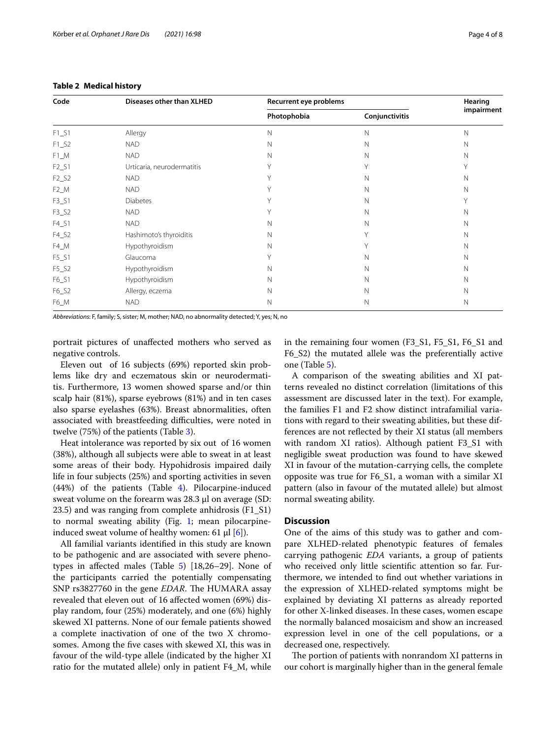| Code    | Diseases other than XLHED  | Recurrent eye problems | Hearing        |             |  |
|---------|----------------------------|------------------------|----------------|-------------|--|
|         |                            | Photophobia            | Conjunctivitis | impairment  |  |
| $F1_S1$ | Allergy                    | N                      | $\mathbb N$    | N           |  |
| $F1_S2$ | <b>NAD</b>                 | $\mathbb N$            | $\mathbb N$    | N           |  |
| $F1_M$  | <b>NAD</b>                 | N                      | $\mathbb N$    | N           |  |
| $F2_S1$ | Urticaria, neurodermatitis | Y                      | Y              | Y           |  |
| $F2_S2$ | <b>NAD</b>                 | Υ                      | $\mathsf{N}$   | N           |  |
| $F2_M$  | <b>NAD</b>                 | Y                      | $\mathsf{N}$   | N           |  |
| $F3_S1$ | <b>Diabetes</b>            | Y                      | $\mathsf{N}$   | Υ           |  |
| $F3_S2$ | <b>NAD</b>                 | Y                      | N              | $\mathbb N$ |  |
| $F4_S1$ | <b>NAD</b>                 | N                      | N              | $\mathbb N$ |  |
| F4_S2   | Hashimoto's thyroiditis    | $\mathsf{N}$           | Υ              | $\mathbb N$ |  |
| F4_M    | Hypothyroidism             | $\mathsf{N}$           | Υ              | $\mathbb N$ |  |
| F5_S1   | Glaucoma                   | Y                      | N              | $\mathbb N$ |  |
| $F5_S2$ | Hypothyroidism             | N                      | N              | $\mathbb N$ |  |
| F6_S1   | Hypothyroidism             | $\mathsf{N}$           | N              | $\mathbb N$ |  |
| F6_S2   | Allergy, eczema            | Ν                      | Ν              | Ν           |  |
| F6_M    | <b>NAD</b>                 | $\mathsf{N}$           | N              | $\mathbb N$ |  |

### <span id="page-3-0"></span>**Table 2 Medical history**

*Abbreviations*: F, family; S, sister; M, mother; NAD, no abnormality detected; Y, yes; N, no

portrait pictures of unafected mothers who served as negative controls.

Eleven out of 16 subjects (69%) reported skin problems like dry and eczematous skin or neurodermatitis. Furthermore, 13 women showed sparse and/or thin scalp hair (81%), sparse eyebrows (81%) and in ten cases also sparse eyelashes (63%). Breast abnormalities, often associated with breastfeeding difficulties, were noted in twelve (75%) of the patients (Table [3\)](#page-4-0).

Heat intolerance was reported by six out of 16 women (38%), although all subjects were able to sweat in at least some areas of their body. Hypohidrosis impaired daily life in four subjects (25%) and sporting activities in seven (44%) of the patients (Table [4\)](#page-4-1). Pilocarpine-induced sweat volume on the forearm was 28.3 µl on average (SD: 23.5) and was ranging from complete anhidrosis (F1\_S1) to normal sweating ability (Fig. [1](#page-4-2); mean pilocarpineinduced sweat volume of healthy women: 61  $\mu$ l [[6\]](#page-6-5)).

All familial variants identifed in this study are known to be pathogenic and are associated with severe phenotypes in affected males (Table  $5$ ) [18,26–29]. None of the participants carried the potentially compensating SNP rs3827760 in the gene *EDAR*. The HUMARA assay revealed that eleven out of 16 afected women (69%) display random, four (25%) moderately, and one (6%) highly skewed XI patterns. None of our female patients showed a complete inactivation of one of the two X chromosomes. Among the fve cases with skewed XI, this was in favour of the wild-type allele (indicated by the higher XI ratio for the mutated allele) only in patient F4\_M, while in the remaining four women (F3\_S1, F5\_S1, F6\_S1 and F6\_S2) the mutated allele was the preferentially active one (Table [5\)](#page-5-0).

A comparison of the sweating abilities and XI patterns revealed no distinct correlation (limitations of this assessment are discussed later in the text). For example, the families F1 and F2 show distinct intrafamilial variations with regard to their sweating abilities, but these differences are not refected by their XI status (all members with random XI ratios). Although patient F3\_S1 with negligible sweat production was found to have skewed XI in favour of the mutation-carrying cells, the complete opposite was true for F6\_S1, a woman with a similar XI pattern (also in favour of the mutated allele) but almost normal sweating ability.

## **Discussion**

One of the aims of this study was to gather and compare XLHED-related phenotypic features of females carrying pathogenic *EDA* variants, a group of patients who received only little scientifc attention so far. Furthermore, we intended to fnd out whether variations in the expression of XLHED-related symptoms might be explained by deviating XI patterns as already reported for other X-linked diseases. In these cases, women escape the normally balanced mosaicism and show an increased expression level in one of the cell populations, or a decreased one, respectively.

The portion of patients with nonrandom XI patterns in our cohort is marginally higher than in the general female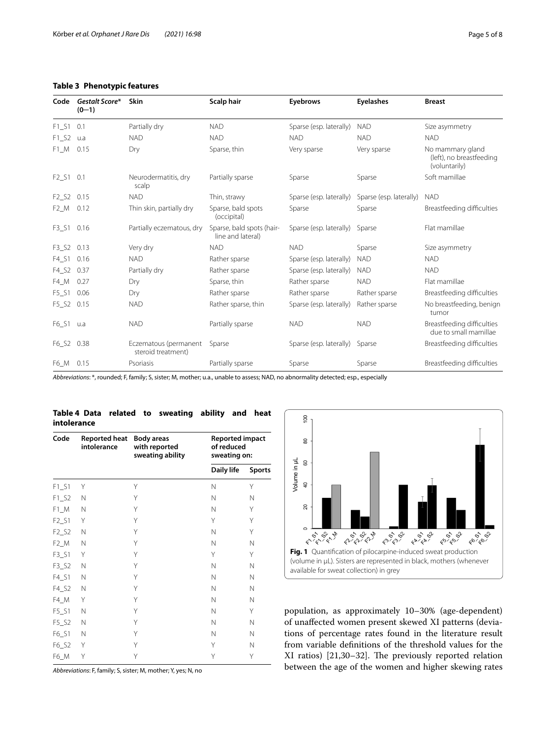## <span id="page-4-0"></span>**Table 3 Phenotypic features**

| Code                          | Gestalt Score*<br>$(0-1)$ | <b>Skin</b>                                 | Scalp hair                                     | Eyebrows                | <b>Eyelashes</b>        | <b>Breast</b>                                                 |
|-------------------------------|---------------------------|---------------------------------------------|------------------------------------------------|-------------------------|-------------------------|---------------------------------------------------------------|
| $F1_S1$                       | 0.1                       | Partially dry                               | <b>NAD</b>                                     | Sparse (esp. laterally) | <b>NAD</b>              | Size asymmetry                                                |
| $F1_S2$                       | u.a                       | <b>NAD</b>                                  | <b>NAD</b>                                     | <b>NAD</b>              | <b>NAD</b>              | <b>NAD</b>                                                    |
| $F1_M$                        | 0.15                      | Dry                                         | Sparse, thin                                   | Very sparse             | Very sparse             | No mammary gland<br>(left), no breastfeeding<br>(voluntarily) |
| F2_S1 0.1                     |                           | Neurodermatitis, dry<br>scalp               | Partially sparse                               | Sparse                  | Sparse                  | Soft mamillae                                                 |
| F <sub>2</sub> S <sub>2</sub> | 0.15                      | <b>NAD</b>                                  | Thin, strawy                                   | Sparse (esp. laterally) | Sparse (esp. laterally) | <b>NAD</b>                                                    |
| $F2_M$                        | 0.12                      | Thin skin, partially dry                    | Sparse, bald spots<br>(occipital)              | Sparse                  | Sparse                  | Breastfeeding difficulties                                    |
| $F3_S1$                       | 0.16                      | Partially eczematous, dry                   | Sparse, bald spots (hair-<br>line and lateral) | Sparse (esp. laterally) | Sparse                  | Flat mamillae                                                 |
| F3 S2                         | 0.13                      | Very dry                                    | <b>NAD</b>                                     | <b>NAD</b>              | Sparse                  | Size asymmetry                                                |
| $F4_S1$                       | 0.16                      | <b>NAD</b>                                  | Rather sparse                                  | Sparse (esp. laterally) | <b>NAD</b>              | <b>NAD</b>                                                    |
| $F4_S2$                       | 0.37                      | Partially dry                               | Rather sparse                                  | Sparse (esp. laterally) | <b>NAD</b>              | <b>NAD</b>                                                    |
| F4 M                          | 0.27                      | Dry                                         | Sparse, thin                                   | Rather sparse           | <b>NAD</b>              | Flat mamillae                                                 |
| $F5_S1$                       | 0.06                      | Dry                                         | Rather sparse                                  | Rather sparse           | Rather sparse           | Breastfeeding difficulties                                    |
| $F5_S2$                       | 0.15                      | <b>NAD</b>                                  | Rather sparse, thin                            | Sparse (esp. laterally) | Rather sparse           | No breastfeeding, benign<br>tumor                             |
| $F6_S1$                       | u.a                       | <b>NAD</b>                                  | Partially sparse                               | <b>NAD</b>              | <b>NAD</b>              | Breastfeeding difficulties<br>due to small mamillae           |
| F6_S2 0.38                    |                           | Eczematous (permanent<br>steroid treatment) | Sparse                                         | Sparse (esp. laterally) | Sparse                  | Breastfeeding difficulties                                    |
| F6_M 0.15                     |                           | Psoriasis                                   | Partially sparse                               | Sparse                  | Sparse                  | Breastfeeding difficulties                                    |

*Abbreviations*: \*, rounded; F, family; S, sister; M, mother; u.a., unable to assess; NAD, no abnormality detected; esp., especially

## <span id="page-4-1"></span>**Table 4 Data related to sweating ability and heat intolerance**

| Code    | <b>Reported heat</b><br>intolerance | <b>Body areas</b><br>with reported<br>sweating ability | <b>Reported impact</b><br>of reduced<br>sweating on: |               |  |
|---------|-------------------------------------|--------------------------------------------------------|------------------------------------------------------|---------------|--|
|         |                                     |                                                        | Daily life                                           | <b>Sports</b> |  |
| $F1_S1$ | Y                                   | Υ                                                      | N                                                    | Υ             |  |
| $F1_S2$ | Ν                                   | Υ                                                      | N                                                    | Ν             |  |
| $F1_M$  | Ν                                   | Υ                                                      | N                                                    | Υ             |  |
| $F2_S1$ | Y                                   | Υ                                                      | Υ                                                    | Υ             |  |
| $F2_S2$ | N                                   | Υ                                                      | Ν                                                    | Υ             |  |
| $F2$ _M | N                                   | Υ                                                      | N                                                    | N             |  |
| $F3_S1$ | Y                                   | Υ                                                      | Υ                                                    | Υ             |  |
| $F3_S2$ | N                                   | Υ                                                      | N                                                    | N             |  |
| $F4_S1$ | N                                   | Υ                                                      | N                                                    | N             |  |
| F4_S2   | N                                   | Υ                                                      | Ν                                                    | Ν             |  |
| F4_M    | Υ                                   | Υ                                                      | Ν                                                    | N             |  |
| $F5_S1$ | N                                   | Υ                                                      | Ν                                                    | Υ             |  |
| $F5_S2$ | N                                   | Υ                                                      | N                                                    | N             |  |
| F6_S1   | N                                   | Υ                                                      | N                                                    | N             |  |
| F6_S2   | Υ                                   | Υ                                                      | Υ                                                    | Ν             |  |
| F6_M    | Υ                                   | Υ                                                      | Υ                                                    | Υ             |  |

*Abbreviations*: F, family; S, sister; M, mother; Y, yes; N, no



<span id="page-4-2"></span>population, as approximately 10–30% (age-dependent) of unafected women present skewed XI patterns (deviations of percentage rates found in the literature result from variable defnitions of the threshold values for the XI ratios) [21,30-32]. The previously reported relation between the age of the women and higher skewing rates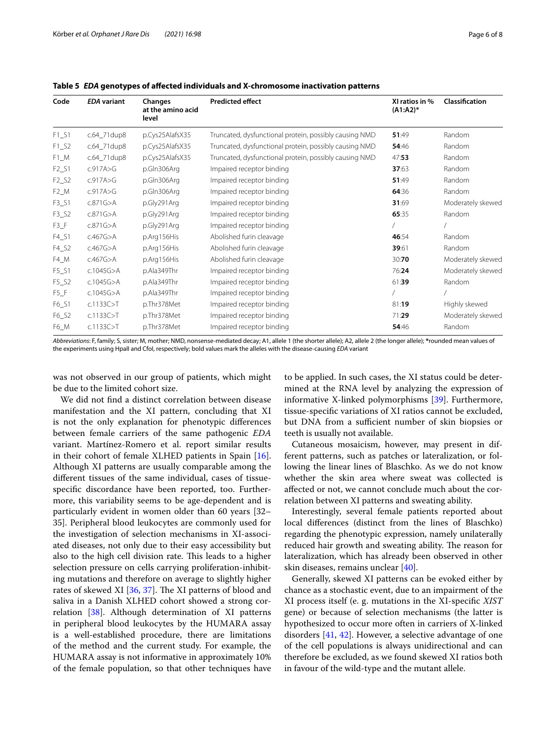| Code                | <b>EDA</b> variant | Changes<br>at the amino acid<br>level | <b>Predicted effect</b>                                | XI ratios in %<br>$(A1:A2)^*$ | Classification    |
|---------------------|--------------------|---------------------------------------|--------------------------------------------------------|-------------------------------|-------------------|
| $F1_S1$             | c.64_71dup8        | p.Cys25AlafsX35                       | Truncated, dysfunctional protein, possibly causing NMD | 51:49                         | Random            |
| $F1_S2$             | c.64_71dup8        | p.Cys25AlafsX35                       | Truncated, dysfunctional protein, possibly causing NMD | 54:46                         | Random            |
| $F1_M$              | c.64_71dup8        | p.Cys25AlafsX35                       | Truncated, dysfunctional protein, possibly causing NMD | 47:53                         | Random            |
| $F2_S1$             | c.917A>G           | p.Gln306Arg                           | Impaired receptor binding                              | 37:63                         | Random            |
| $F2_S2$             | c.917A>G           | p.Gln306Arg                           | Impaired receptor binding                              | 51:49                         | Random            |
| $F2$ _M             | c.917A>G           | p.Gln306Arg                           | Impaired receptor binding                              | 64:36                         | Random            |
| $F3_S1$             | c.871G > A         | p.Gly291Arg                           | Impaired receptor binding                              | 31:69                         | Moderately skewed |
| $F3_S2$             | c.871G > A         | p.Gly291Arg                           | Impaired receptor binding                              | 65:35                         | Random            |
| $F3_F$              | c.871G > A         | p.Gly291Arg                           | Impaired receptor binding                              |                               |                   |
| $F4_S1$             | c.467G > A         | p.Arg156His                           | Abolished furin cleavage                               | 46:54                         | Random            |
| $F4_S2$             | c.467G > A         | p.Arg156His                           | Abolished furin cleavage                               | 39:61                         | Random            |
| $F4$ <sub>_</sub> M | c.467G > A         | p.Arg156His                           | Abolished furin cleavage                               | 30:70                         | Moderately skewed |
| $F5_S1$             | c.1045G>A          | p.Ala349Thr                           | Impaired receptor binding                              | 76:24                         | Moderately skewed |
| $F5_S2$             | c.1045G>A          | p.Ala349Thr                           | Impaired receptor binding                              | 61:39                         | Random            |
| $F5_F$              | c.1045G>A          | p.Ala349Thr                           | Impaired receptor binding                              |                               |                   |
| F6_S1               | c.1133C > T        | p.Thr378Met                           | Impaired receptor binding                              | 81:19                         | Highly skewed     |
| F6_S2               | c.1133C > T        | p.Thr378Met                           | Impaired receptor binding                              | 71:29                         | Moderately skewed |
| F6_M                | c.1133C > T        | p.Thr378Met                           | Impaired receptor binding                              | 54:46                         | Random            |

<span id="page-5-0"></span>**Table 5** *EDA* **genotypes of afected individuals and X-chromosome inactivation patterns**

*Abbreviations*: F, family; S, sister; M, mother; NMD, nonsense-mediated decay; A1, allele 1 (the shorter allele); A2, allele 2 (the longer allele); **\***rounded mean values of the experiments using HpaII and CfoI, respectively; bold values mark the alleles with the disease-causing *EDA* variant

was not observed in our group of patients, which might be due to the limited cohort size.

We did not fnd a distinct correlation between disease manifestation and the XI pattern, concluding that XI is not the only explanation for phenotypic diferences between female carriers of the same pathogenic *EDA* variant. Martínez-Romero et al. report similar results in their cohort of female XLHED patients in Spain [\[16](#page-7-6)]. Although XI patterns are usually comparable among the diferent tissues of the same individual, cases of tissuespecifc discordance have been reported, too. Furthermore, this variability seems to be age-dependent and is particularly evident in women older than 60 years [32– 35]. Peripheral blood leukocytes are commonly used for the investigation of selection mechanisms in XI-associated diseases, not only due to their easy accessibility but also to the high cell division rate. This leads to a higher selection pressure on cells carrying proliferation-inhibiting mutations and therefore on average to slightly higher rates of skewed XI  $[36, 37]$  $[36, 37]$  $[36, 37]$  $[36, 37]$  $[36, 37]$ . The XI patterns of blood and saliva in a Danish XLHED cohort showed a strong correlation [\[38](#page-7-9)]. Although determination of XI patterns in peripheral blood leukocytes by the HUMARA assay is a well-established procedure, there are limitations of the method and the current study. For example, the HUMARA assay is not informative in approximately 10% of the female population, so that other techniques have to be applied. In such cases, the XI status could be determined at the RNA level by analyzing the expression of informative X-linked polymorphisms [\[39](#page-7-10)]. Furthermore, tissue-specifc variations of XI ratios cannot be excluded, but DNA from a sufficient number of skin biopsies or teeth is usually not available.

Cutaneous mosaicism, however, may present in different patterns, such as patches or lateralization, or following the linear lines of Blaschko. As we do not know whether the skin area where sweat was collected is afected or not, we cannot conclude much about the correlation between XI patterns and sweating ability.

Interestingly, several female patients reported about local diferences (distinct from the lines of Blaschko) regarding the phenotypic expression, namely unilaterally reduced hair growth and sweating ability. The reason for lateralization, which has already been observed in other skin diseases, remains unclear [[40\]](#page-7-11).

Generally, skewed XI patterns can be evoked either by chance as a stochastic event, due to an impairment of the XI process itself (e. g. mutations in the XI-specifc *XIST* gene) or because of selection mechanisms (the latter is hypothesized to occur more often in carriers of X-linked disorders [[41,](#page-7-12) [42\]](#page-7-13). However, a selective advantage of one of the cell populations is always unidirectional and can therefore be excluded, as we found skewed XI ratios both in favour of the wild-type and the mutant allele.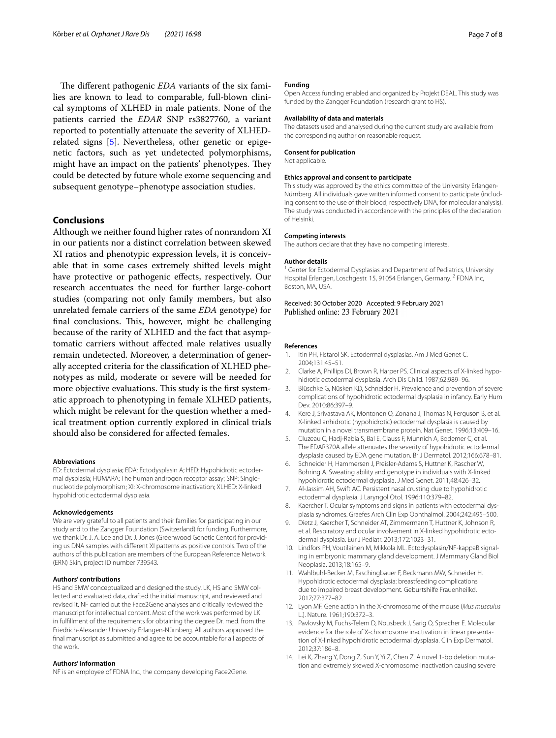The different pathogenic *EDA* variants of the six families are known to lead to comparable, full-blown clinical symptoms of XLHED in male patients. None of the patients carried the *EDAR* SNP rs3827760, a variant reported to potentially attenuate the severity of XLHEDrelated signs [\[5](#page-6-4)]. Nevertheless, other genetic or epigenetic factors, such as yet undetected polymorphisms, might have an impact on the patients' phenotypes. They could be detected by future whole exome sequencing and subsequent genotype–phenotype association studies.

## **Conclusions**

Although we neither found higher rates of nonrandom XI in our patients nor a distinct correlation between skewed XI ratios and phenotypic expression levels, it is conceivable that in some cases extremely shifted levels might have protective or pathogenic efects, respectively. Our research accentuates the need for further large-cohort studies (comparing not only family members, but also unrelated female carriers of the same *EDA* genotype) for final conclusions. This, however, might be challenging because of the rarity of XLHED and the fact that asymptomatic carriers without afected male relatives usually remain undetected. Moreover, a determination of generally accepted criteria for the classifcation of XLHED phenotypes as mild, moderate or severe will be needed for more objective evaluations. This study is the first systematic approach to phenotyping in female XLHED patients, which might be relevant for the question whether a medical treatment option currently explored in clinical trials should also be considered for afected females.

#### **Abbreviations**

ED: Ectodermal dysplasia; EDA: Ectodysplasin A; HED: Hypohidrotic ectodermal dysplasia; HUMARA: The human androgen receptor assay; SNP: Singlenucleotide polymorphism; XI: X-chromosome inactivation; XLHED: X-linked hypohidrotic ectodermal dysplasia.

#### **Acknowledgements**

We are very grateful to all patients and their families for participating in our study and to the Zangger Foundation (Switzerland) for funding. Furthermore, we thank Dr. J. A. Lee and Dr. J. Jones (Greenwood Genetic Center) for providing us DNA samples with diferent XI patterns as positive controls. Two of the authors of this publication are members of the European Reference Network (ERN) Skin, project ID number 739543.

#### **Authors' contributions**

HS and SMW conceptualized and designed the study. LK, HS and SMW collected and evaluated data, drafted the initial manuscript, and reviewed and revised it. NF carried out the Face2Gene analyses and critically reviewed the manuscript for intellectual content. Most of the work was performed by LK in fulfllment of the requirements for obtaining the degree Dr. med. from the Friedrich-Alexander University Erlangen-Nürnberg. All authors approved the fnal manuscript as submitted and agree to be accountable for all aspects of the work.

#### **Authors' information**

NF is an employee of FDNA Inc., the company developing Face2Gene.

#### **Funding**

Open Access funding enabled and organized by Projekt DEAL. This study was funded by the Zangger Foundation (research grant to HS).

#### **Availability of data and materials**

The datasets used and analysed during the current study are available from the corresponding author on reasonable request.

#### **Consent for publication**

Not applicable.

#### **Ethics approval and consent to participate**

This study was approved by the ethics committee of the University Erlangen-Nürnberg. All individuals gave written informed consent to participate (includ‑ ing consent to the use of their blood, respectively DNA, for molecular analysis). The study was conducted in accordance with the principles of the declaration of Helsinki.

#### **Competing interests**

The authors declare that they have no competing interests.

#### **Author details**

<sup>1</sup> Center for Ectodermal Dysplasias and Department of Pediatrics, University Hospital Erlangen, Loschgestr. 15, 91054 Erlangen, Germany. 2 FDNA Inc, Boston, MA, USA.

Received: 30 October 2020 Accepted: 9 February 2021 Published online: 23 February 2021

#### **References**

- <span id="page-6-0"></span>1. Itin PH, Fistarol SK. Ectodermal dysplasias. Am J Med Genet C. 2004;131:45–51.
- <span id="page-6-1"></span>2. Clarke A, Phillips DI, Brown R, Harper PS. Clinical aspects of X-linked hypohidrotic ectodermal dysplasia. Arch Dis Child. 1987;62:989–96.
- <span id="page-6-2"></span>3. Blüschke G, Nüsken KD, Schneider H. Prevalence and prevention of severe complications of hypohidrotic ectodermal dysplasia in infancy. Early Hum Dev. 2010;86:397–9.
- <span id="page-6-3"></span>4. Kere J, Srivastava AK, Montonen O, Zonana J, Thomas N, Ferguson B, et al. X-linked anhidrotic (hypohidrotic) ectodermal dysplasia is caused by mutation in a novel transmembrane protein. Nat Genet. 1996;13:409–16.
- <span id="page-6-4"></span>5. Cluzeau C, Hadj-Rabia S, Bal E, Clauss F, Munnich A, Bodemer C, et al. The EDAR370A allele attenuates the severity of hypohidrotic ectodermal dysplasia caused by EDA gene mutation. Br J Dermatol. 2012;166:678–81.
- <span id="page-6-5"></span>6. Schneider H, Hammersen J, Preisler-Adams S, Huttner K, Rascher W, Bohring A. Sweating ability and genotype in individuals with X-linked hypohidrotic ectodermal dysplasia. J Med Genet. 2011;48:426–32.
- 7. Al-Jassim AH, Swift AC. Persistent nasal crusting due to hypohidrotic ectodermal dysplasia. J Laryngol Otol. 1996;110:379–82.
- 8. Kaercher T. Ocular symptoms and signs in patients with ectodermal dysplasia syndromes. Graefes Arch Clin Exp Ophthalmol. 2004;242:495–500.
- 9. Dietz J, Kaercher T, Schneider AT, Zimmermann T, Huttner K, Johnson R, et al. Respiratory and ocular involvement in X-linked hypohidrotic ectodermal dysplasia. Eur J Pediatr. 2013;172:1023–31.
- 10. Lindfors PH, Voutilainen M, Mikkola ML. Ectodysplasin/NF-kappaB signaling in embryonic mammary gland development. J Mammary Gland Biol Neoplasia. 2013;18:165–9.
- <span id="page-6-6"></span>11. Wahlbuhl-Becker M, Faschingbauer F, Beckmann MW, Schneider H. Hypohidrotic ectodermal dysplasia: breastfeeding complications due to impaired breast development. Geburtshilfe Frauenheilkd. 2017;77:377–82.
- <span id="page-6-7"></span>12. Lyon MF. Gene action in the X-chromosome of the mouse (*Mus musculus* L.). Nature. 1961;190:372–3.
- 13. Pavlovsky M, Fuchs-Telem D, Nousbeck J, Sarig O, Sprecher E. Molecular evidence for the role of X-chromosome inactivation in linear presentation of X-linked hypohidrotic ectodermal dysplasia. Clin Exp Dermatol. 2012;37:186–8.
- 14. Lei K, Zhang Y, Dong Z, Sun Y, Yi Z, Chen Z. A novel 1-bp deletion mutation and extremely skewed X-chromosome inactivation causing severe